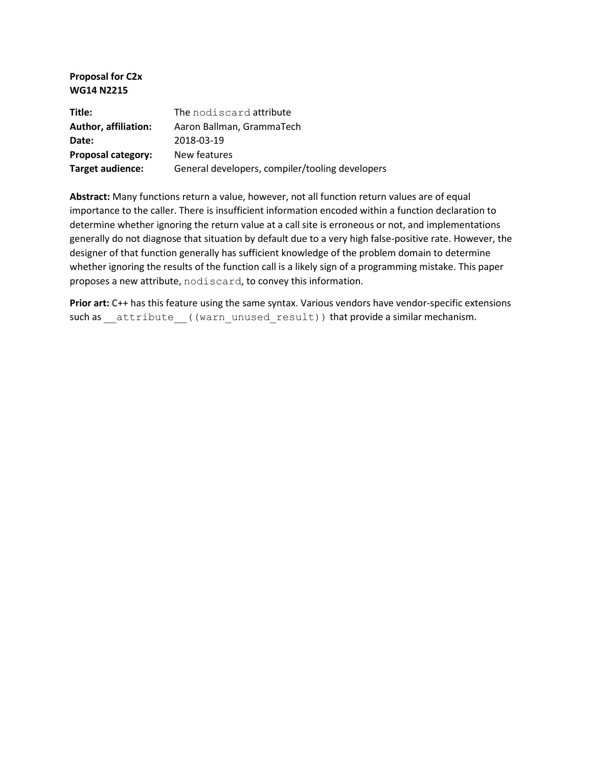#### **Proposal for C2x WG14 N2215**

| Title:                      | The nodiscard attribute                         |
|-----------------------------|-------------------------------------------------|
| <b>Author, affiliation:</b> | Aaron Ballman, GrammaTech                       |
| Date:                       | 2018-03-19                                      |
| <b>Proposal category:</b>   | New features                                    |
| Target audience:            | General developers, compiler/tooling developers |

**Abstract:** Many functions return a value, however, not all function return values are of equal importance to the caller. There is insufficient information encoded within a function declaration to determine whether ignoring the return value at a call site is erroneous or not, and implementations generally do not diagnose that situation by default due to a very high false-positive rate. However, the designer of that function generally has sufficient knowledge of the problem domain to determine whether ignoring the results of the function call is a likely sign of a programming mistake. This paper proposes a new attribute, nodiscard, to convey this information.

Prior art: C++ has this feature using the same syntax. Various vendors have vendor-specific extensions such as \_\_attribute ((warn\_unused\_result)) that provide a similar mechanism.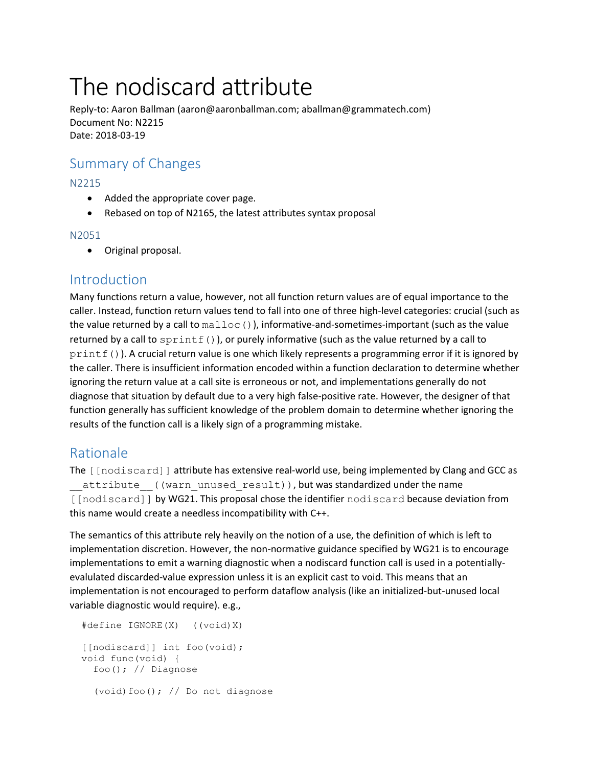# The nodiscard attribute

Reply-to: Aaron Ballman (aaron@aaronballman.com; aballman@grammatech.com) Document No: N2215 Date: 2018-03-19

## Summary of Changes

#### N2215

- Added the appropriate cover page.
- Rebased on top of N2165, the latest attributes syntax proposal

#### N2051

• Original proposal.

### Introduction

Many functions return a value, however, not all function return values are of equal importance to the caller. Instead, function return values tend to fall into one of three high-level categories: crucial (such as the value returned by a call to  $\text{malloc}$  ()), informative-and-sometimes-important (such as the value returned by a call to  $\text{sprintf}()$ , or purely informative (such as the value returned by a call to printf()). A crucial return value is one which likely represents a programming error if it is ignored by the caller. There is insufficient information encoded within a function declaration to determine whether ignoring the return value at a call site is erroneous or not, and implementations generally do not diagnose that situation by default due to a very high false-positive rate. However, the designer of that function generally has sufficient knowledge of the problem domain to determine whether ignoring the results of the function call is a likely sign of a programming mistake.

## Rationale

The [[nodiscard]] attribute has extensive real-world use, being implemented by Clang and GCC as attribute ((warn unused result)), but was standardized under the name [[nodiscard]] by WG21. This proposal chose the identifier nodiscard because deviation from this name would create a needless incompatibility with C++.

The semantics of this attribute rely heavily on the notion of a use, the definition of which is left to implementation discretion. However, the non-normative guidance specified by WG21 is to encourage implementations to emit a warning diagnostic when a nodiscard function call is used in a potentiallyevalulated discarded-value expression unless it is an explicit cast to void. This means that an implementation is not encouraged to perform dataflow analysis (like an initialized-but-unused local variable diagnostic would require). e.g.,

```
 #define IGNORE(X) ((void)X)
[[nodiscard]] int foo(void);
 void func(void) {
   foo(); // Diagnose
   (void)foo(); // Do not diagnose
```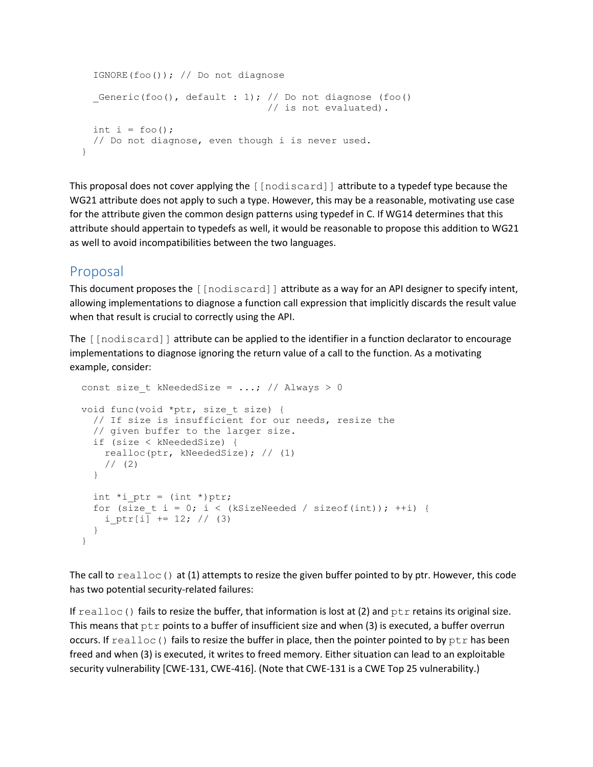```
 IGNORE(foo()); // Do not diagnose
  Generic(foo(), default : 1); // Do not diagnose (foo()
                                  // is not evaluated).
 int i = foo();
  // Do not diagnose, even though i is never used.
 }
```
This proposal does not cover applying the [[nodiscard]] attribute to a typedef type because the WG21 attribute does not apply to such a type. However, this may be a reasonable, motivating use case for the attribute given the common design patterns using typedef in C. If WG14 determines that this attribute should appertain to typedefs as well, it would be reasonable to propose this addition to WG21 as well to avoid incompatibilities between the two languages.

## Proposal

This document proposes the  $\lceil \text{[nodiscard]} \rceil$  attribute as a way for an API designer to specify intent, allowing implementations to diagnose a function call expression that implicitly discards the result value when that result is crucial to correctly using the API.

The [[nodiscard]] attribute can be applied to the identifier in a function declarator to encourage implementations to diagnose ignoring the return value of a call to the function. As a motivating example, consider:

```
const size t kNeededSize = ...; // Always > 0
void func(void *ptr, size t size) {
   // If size is insufficient for our needs, resize the
  // given buffer to the larger size.
  if (size < kNeededSize) {
    realloc(ptr, kNeededSize); // (1)
    // (2) }
  int *i ptr = (int *)ptr;
  for (size t i = 0; i < (kSizeNeeded / sizeof(int)); ++i) {
   i ptr[i] += 12; // (3)
   }
 }
```
The call to  $realloc()$  at (1) attempts to resize the given buffer pointed to by ptr. However, this code has two potential security-related failures:

If  $realloc()$  fails to resize the buffer, that information is lost at (2) and  $ptr$  retains its original size. This means that  $ptr$  points to a buffer of insufficient size and when (3) is executed, a buffer overrun occurs. If  $realloc()$  fails to resize the buffer in place, then the pointer pointed to by  $ptr$  has been freed and when (3) is executed, it writes to freed memory. Either situation can lead to an exploitable security vulnerability [CWE-131, CWE-416]. (Note that CWE-131 is a CWE Top 25 vulnerability.)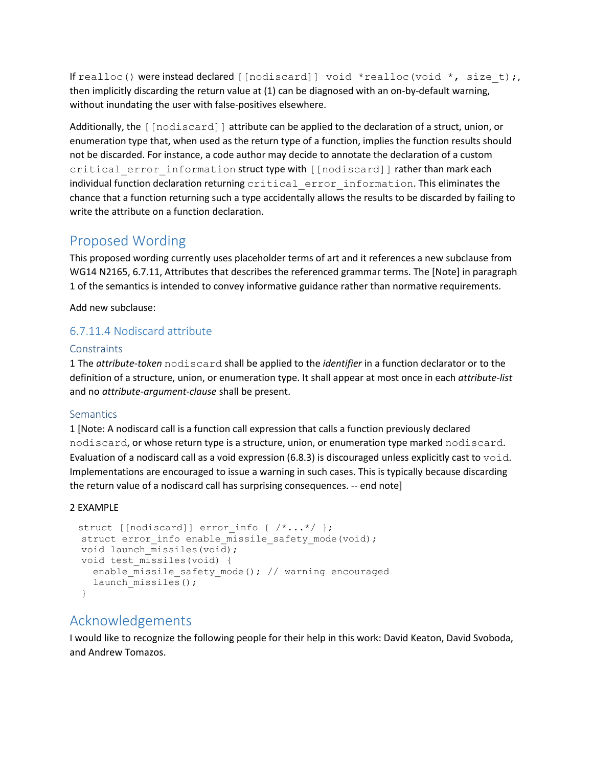If realloc() were instead declared [[nodiscard]] void \*realloc(void \*, size t);, then implicitly discarding the return value at (1) can be diagnosed with an on-by-default warning, without inundating the user with false-positives elsewhere.

Additionally, the [[nodiscard]] attribute can be applied to the declaration of a struct, union, or enumeration type that, when used as the return type of a function, implies the function results should not be discarded. For instance, a code author may decide to annotate the declaration of a custom critical error information struct type with [[nodiscard]] rather than mark each individual function declaration returning critical error information. This eliminates the chance that a function returning such a type accidentally allows the results to be discarded by failing to write the attribute on a function declaration.

## Proposed Wording

This proposed wording currently uses placeholder terms of art and it references a new subclause from WG14 N2165, 6.7.11, Attributes that describes the referenced grammar terms. The [Note] in paragraph 1 of the semantics is intended to convey informative guidance rather than normative requirements.

Add new subclause:

#### 6.7.11.4 Nodiscard attribute

#### **Constraints**

1 The *attribute-token* nodiscard shall be applied to the *identifier* in a function declarator or to the definition of a structure, union, or enumeration type. It shall appear at most once in each *attribute-list* and no *attribute-argument-clause* shall be present.

#### **Semantics**

1 [Note: A nodiscard call is a function call expression that calls a function previously declared nodiscard, or whose return type is a structure, union, or enumeration type marked nodiscard. Evaluation of a nodiscard call as a void expression (6.8.3) is discouraged unless explicitly cast to  $\text{void}$ . Implementations are encouraged to issue a warning in such cases. This is typically because discarding the return value of a nodiscard call has surprising consequences. -- end note]

#### 2 EXAMPLE

```
struct [[nodiscard]] error info { /*...*/ };
struct error info enable missile safety mode(void);
void launch missiles(void);
 void test_missiles(void) {
  enable missile safety mode(); // warning encouraged
  launch missiles();
 }
```
## Acknowledgements

I would like to recognize the following people for their help in this work: David Keaton, David Svoboda, and Andrew Tomazos.